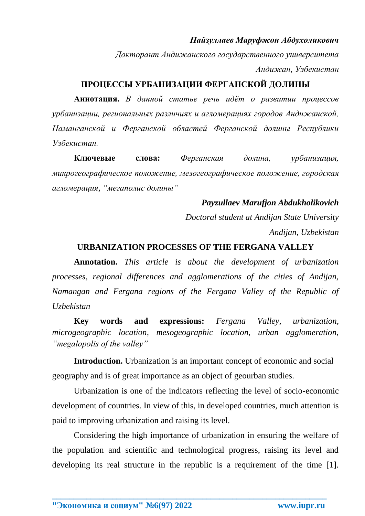## *Пайзуллаев Маруфжон Абдухоликович*

*Докторант Андижанского государственного университета Андижан, Узбекистан*

### **ПРОЦЕССЫ УРБАНИЗАЦИИ ФЕРГАНСКОЙ ДОЛИНЫ**

**Аннотация.** *В данной статье речь идёт о развитии процессов урбанизации, региональных различиях и агломерациях городов Андижанской, Наманганской и Ферганской областей Ферганской долины Республики Узбекистан.* 

**Ключевые слова:** *Ферганская долина, урбанизация, микрогеографическое положение, мезогеографическое положение, городская агломерация, "мегаполис долины"*

### *Payzullaev Marufjon Abdukholikovich*

*Doctoral student at Andijan State University Andijan, Uzbekistan*

### **URBANIZATION PROCESSES OF THE FERGANA VALLEY**

**Annotation.** *This article is about the development of urbanization processes, regional differences and agglomerations of the cities of Andijan, Namangan and Fergana regions of the Fergana Valley of the Republic of Uzbekistan* 

**Key words and expressions:** *Fergana Valley, urbanization, microgeographic location, mesogeographic location, urban agglomeration, "megalopolis of the valley"*

**Introduction.** Urbanization is an important concept of economic and social geography and is of great importance as an object of geourban studies.

Urbanization is one of the indicators reflecting the level of socio-economic development of countries. In view of this, in developed countries, much attention is paid to improving urbanization and raising its level.

Considering the high importance of urbanization in ensuring the welfare of the population and scientific and technological progress, raising its level and developing its real structure in the republic is a requirement of the time [1].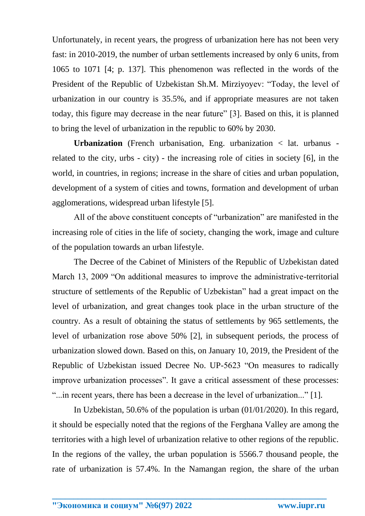Unfortunately, in recent years, the progress of urbanization here has not been very fast: in 2010-2019, the number of urban settlements increased by only 6 units, from 1065 to 1071 [4; p. 137]. This phenomenon was reflected in the words of the President of the Republic of Uzbekistan Sh.M. Mirziyoyev: "Today, the level of urbanization in our country is 35.5%, and if appropriate measures are not taken today, this figure may decrease in the near future" [3]. Based on this, it is planned to bring the level of urbanization in the republic to 60% by 2030.

**Urbanization** (French urbanisation, Eng. urbanization < lat. urbanus related to the city, urbs - city) - the increasing role of cities in society [6], in the world, in countries, in regions; increase in the share of cities and urban population, development of a system of cities and towns, formation and development of urban agglomerations, widespread urban lifestyle [5].

All of the above constituent concepts of "urbanization" are manifested in the increasing role of cities in the life of society, changing the work, image and culture of the population towards an urban lifestyle.

The Decree of the Cabinet of Ministers of the Republic of Uzbekistan dated March 13, 2009 "On additional measures to improve the administrative-territorial structure of settlements of the Republic of Uzbekistan" had a great impact on the level of urbanization, and great changes took place in the urban structure of the country. As a result of obtaining the status of settlements by 965 settlements, the level of urbanization rose above 50% [2], in subsequent periods, the process of urbanization slowed down. Based on this, on January 10, 2019, the President of the Republic of Uzbekistan issued Decree No. UP-5623 "On measures to radically improve urbanization processes". It gave a critical assessment of these processes: "...in recent years, there has been a decrease in the level of urbanization..." [1].

In Uzbekistan, 50.6% of the population is urban (01/01/2020). In this regard, it should be especially noted that the regions of the Ferghana Valley are among the territories with a high level of urbanization relative to other regions of the republic. In the regions of the valley, the urban population is 5566.7 thousand people, the rate of urbanization is 57.4%. In the Namangan region, the share of the urban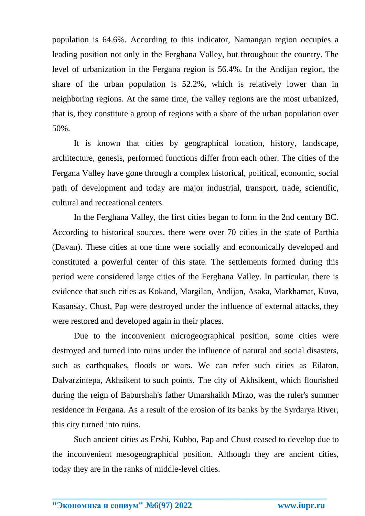population is 64.6%. According to this indicator, Namangan region occupies a leading position not only in the Ferghana Valley, but throughout the country. The level of urbanization in the Fergana region is 56.4%. In the Andijan region, the share of the urban population is 52.2%, which is relatively lower than in neighboring regions. At the same time, the valley regions are the most urbanized, that is, they constitute a group of regions with a share of the urban population over 50%.

It is known that cities by geographical location, history, landscape, architecture, genesis, performed functions differ from each other. The cities of the Fergana Valley have gone through a complex historical, political, economic, social path of development and today are major industrial, transport, trade, scientific, cultural and recreational centers.

In the Ferghana Valley, the first cities began to form in the 2nd century BC. According to historical sources, there were over 70 cities in the state of Parthia (Davan). These cities at one time were socially and economically developed and constituted a powerful center of this state. The settlements formed during this period were considered large cities of the Ferghana Valley. In particular, there is evidence that such cities as Kokand, Margilan, Andijan, Asaka, Markhamat, Kuva, Kasansay, Chust, Pap were destroyed under the influence of external attacks, they were restored and developed again in their places.

Due to the inconvenient microgeographical position, some cities were destroyed and turned into ruins under the influence of natural and social disasters, such as earthquakes, floods or wars. We can refer such cities as Eilaton, Dalvarzintepa, Akhsikent to such points. The city of Akhsikent, which flourished during the reign of Baburshah's father Umarshaikh Mirzo, was the ruler's summer residence in Fergana. As a result of the erosion of its banks by the Syrdarya River, this city turned into ruins.

Such ancient cities as Ershi, Kubbo, Pap and Chust ceased to develop due to the inconvenient mesogeographical position. Although they are ancient cities, today they are in the ranks of middle-level cities.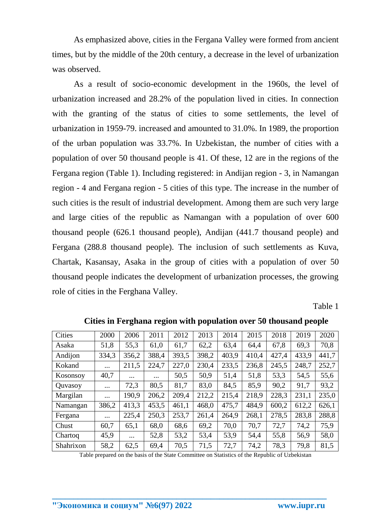As emphasized above, cities in the Fergana Valley were formed from ancient times, but by the middle of the 20th century, a decrease in the level of urbanization was observed.

As a result of socio-economic development in the 1960s, the level of urbanization increased and 28.2% of the population lived in cities. In connection with the granting of the status of cities to some settlements, the level of urbanization in 1959-79. increased and amounted to 31.0%. In 1989, the proportion of the urban population was 33.7%. In Uzbekistan, the number of cities with a population of over 50 thousand people is 41. Of these, 12 are in the regions of the Fergana region (Table 1). Including registered: in Andijan region - 3, in Namangan region - 4 and Fergana region - 5 cities of this type. The increase in the number of such cities is the result of industrial development. Among them are such very large and large cities of the republic as Namangan with a population of over 600 thousand people (626.1 thousand people), Andijan (441.7 thousand people) and Fergana (288.8 thousand people). The inclusion of such settlements as Kuva, Chartak, Kasansay, Asaka in the group of cities with a population of over 50 thousand people indicates the development of urbanization processes, the growing role of cities in the Ferghana Valley.

Table 1

| <b>Cities</b> | 2000     | 2006     | 2011     | 2012  | 2013  | 2014  | 2015  | 2018  | 2019  | 2020  |
|---------------|----------|----------|----------|-------|-------|-------|-------|-------|-------|-------|
| Asaka         | 51,8     | 55,3     | 61,0     | 61,7  | 62,2  | 63,4  | 64,4  | 67,8  | 69,3  | 70,8  |
| Andijon       | 334,3    | 356,2    | 388,4    | 393,5 | 398,2 | 403.9 | 410,4 | 427,4 | 433,9 | 441,7 |
| Kokand        | $\cdots$ | 211,5    | 224,7    | 227,0 | 230,4 | 233,5 | 236,8 | 245,5 | 248.7 | 252,7 |
| Kosonsoy      | 40,7     | $\cdots$ | $\cdots$ | 50,5  | 50,9  | 51,4  | 51,8  | 53,3  | 54,5  | 55,6  |
| Quvasoy       | $\cdots$ | 72,3     | 80,5     | 81,7  | 83,0  | 84,5  | 85,9  | 90,2  | 91,7  | 93,2  |
| Margilan      | $\cdots$ | 190.9    | 206,2    | 209,4 | 212,2 | 215,4 | 218,9 | 228,3 | 231,1 | 235,0 |
| Namangan      | 386,2    | 413,3    | 453,5    | 461,1 | 468,0 | 475,7 | 484,9 | 600,2 | 612,2 | 626,1 |
| Fergana       | $\cdots$ | 225,4    | 250,3    | 253,7 | 261,4 | 264,9 | 268,1 | 278,5 | 283,8 | 288,8 |
| Chust         | 60,7     | 65,1     | 68,0     | 68,6  | 69,2  | 70,0  | 70,7  | 72,7  | 74,2  | 75,9  |
| Chartoq       | 45,9     | $\cdots$ | 52,8     | 53,2  | 53,4  | 53,9  | 54,4  | 55,8  | 56,9  | 58,0  |
| Shahrixon     | 58,2     | 62,5     | 69,4     | 70,5  | 71,5  | 72,7  | 74,2  | 78,3  | 79,8  | 81,5  |

**Cities in Ferghana region with population over 50 thousand people**

Table prepared on the basis of the State Committee on Statistics of the Republic of Uzbekistan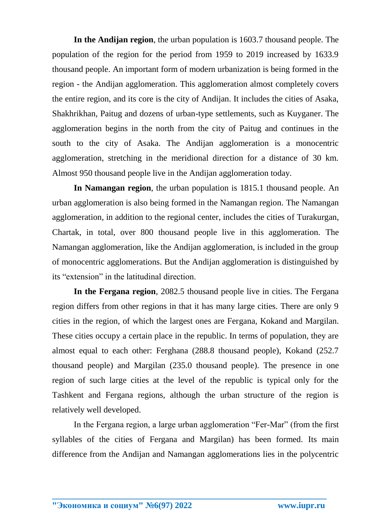**In the Andijan region**, the urban population is 1603.7 thousand people. The population of the region for the period from 1959 to 2019 increased by 1633.9 thousand people. An important form of modern urbanization is being formed in the region - the Andijan agglomeration. This agglomeration almost completely covers the entire region, and its core is the city of Andijan. It includes the cities of Asaka, Shakhrikhan, Paitug and dozens of urban-type settlements, such as Kuyganer. The agglomeration begins in the north from the city of Paitug and continues in the south to the city of Asaka. The Andijan agglomeration is a monocentric agglomeration, stretching in the meridional direction for a distance of 30 km. Almost 950 thousand people live in the Andijan agglomeration today.

**In Namangan region**, the urban population is 1815.1 thousand people. An urban agglomeration is also being formed in the Namangan region. The Namangan agglomeration, in addition to the regional center, includes the cities of Turakurgan, Chartak, in total, over 800 thousand people live in this agglomeration. The Namangan agglomeration, like the Andijan agglomeration, is included in the group of monocentric agglomerations. But the Andijan agglomeration is distinguished by its "extension" in the latitudinal direction.

**In the Fergana region**, 2082.5 thousand people live in cities. The Fergana region differs from other regions in that it has many large cities. There are only 9 cities in the region, of which the largest ones are Fergana, Kokand and Margilan. These cities occupy a certain place in the republic. In terms of population, they are almost equal to each other: Ferghana (288.8 thousand people), Kokand (252.7 thousand people) and Margilan (235.0 thousand people). The presence in one region of such large cities at the level of the republic is typical only for the Tashkent and Fergana regions, although the urban structure of the region is relatively well developed.

In the Fergana region, a large urban agglomeration "Fer-Mar" (from the first syllables of the cities of Fergana and Margilan) has been formed. Its main difference from the Andijan and Namangan agglomerations lies in the polycentric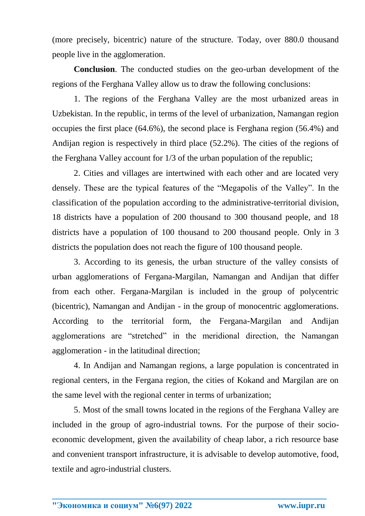(more precisely, bicentric) nature of the structure. Today, over 880.0 thousand people live in the agglomeration.

**Conclusion**. The conducted studies on the geo-urban development of the regions of the Ferghana Valley allow us to draw the following conclusions:

1. The regions of the Ferghana Valley are the most urbanized areas in Uzbekistan. In the republic, in terms of the level of urbanization, Namangan region occupies the first place (64.6%), the second place is Ferghana region (56.4%) and Andijan region is respectively in third place (52.2%). The cities of the regions of the Ferghana Valley account for 1/3 of the urban population of the republic;

2. Cities and villages are intertwined with each other and are located very densely. These are the typical features of the "Megapolis of the Valley". In the classification of the population according to the administrative-territorial division, 18 districts have a population of 200 thousand to 300 thousand people, and 18 districts have a population of 100 thousand to 200 thousand people. Only in 3 districts the population does not reach the figure of 100 thousand people.

3. According to its genesis, the urban structure of the valley consists of urban agglomerations of Fergana-Margilan, Namangan and Andijan that differ from each other. Fergana-Margilan is included in the group of polycentric (bicentric), Namangan and Andijan - in the group of monocentric agglomerations. According to the territorial form, the Fergana-Margilan and Andijan agglomerations are "stretched" in the meridional direction, the Namangan agglomeration - in the latitudinal direction;

4. In Andijan and Namangan regions, a large population is concentrated in regional centers, in the Fergana region, the cities of Kokand and Margilan are on the same level with the regional center in terms of urbanization;

5. Most of the small towns located in the regions of the Ferghana Valley are included in the group of agro-industrial towns. For the purpose of their socioeconomic development, given the availability of cheap labor, a rich resource base and convenient transport infrastructure, it is advisable to develop automotive, food, textile and agro-industrial clusters.